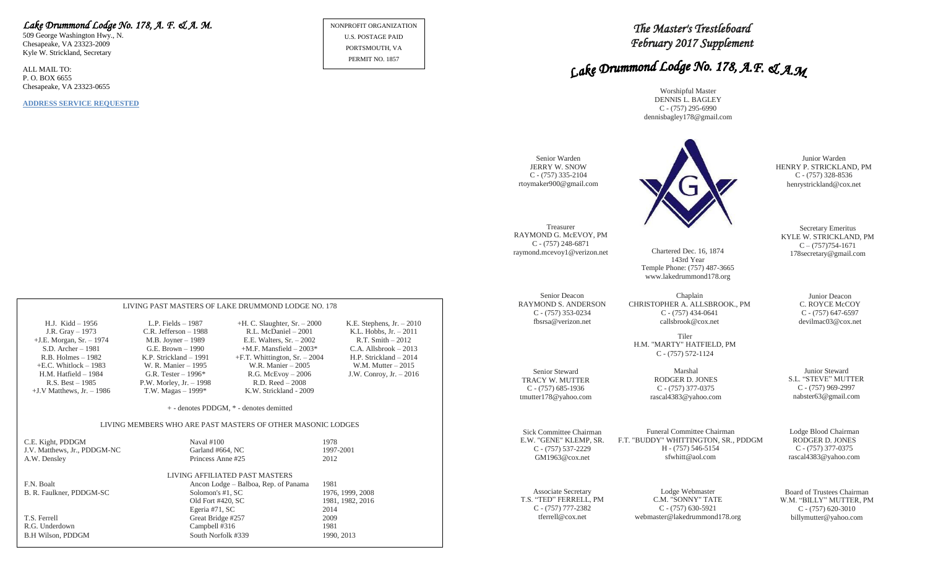## *Lake Drummond Lodge No. 178, A. F. & A. M.*

LIVING PAST MASTERS OF LAKE DRUMMOND LODGE NO. 178

+E.C. Whitlock – 1983 W. R. Manier – 1995 W.R. Manier – 2005 W.M. Mutter – 2015 H.M. Hatfield – 1984 G.R. Tester – 1996\* R.G. McEvoy – 2006 J.W. Conroy, Jr. – 2016

> + - denotes PDDGM, \* - denotes demitted LIVING MEMBERS WHO ARE PAST MASTERS OF OTHER MASONIC LODGES

> > LIVING AFFILIATED PAST MASTERS

Old Fort #420, SC 1981, 1982, 2016<br>Egeria #71, SC 2014

R.B. Holmes – 1982 K.P. Strickland – 1991  $+$ F.T. Whittington, Sr. – 2004

C.E. Kight, PDDGM Naval #100 1978

B. R. Faulkner, PDDGM-SC Solomon's #1, SC 1976, 1999, 2008

Egeria #71,  $SC$ 

A.W. Densley Princess Anne #25 2012

F.N. Boalt Ancon Lodge – Balboa, Rep. of Panama 1981

T.S. Ferrell Great Bridge #257 2009 R.G. Underdown Campbell #316 1981 B.H Wilson, PDDGM South Norfolk #339 1990, 2013

+J.V Matthews, Jr. – 1986 T.W. Magas – 1999\* K.W. Strickland - 2009

R.S. Best – 1985 P.W. Morley, Jr. – 1998

J.V. Matthews, Jr., PDDGM-NC Garland #664, NC

H.J. Kidd – 1956 L.P. Fields – 1987 +H. C. Slaughter, Sr. – 2000 K.E. Stephens, Jr. – 2010 J.R. Gray – 1973 C.R. Jefferson – 1988 R.L. McDaniel – 2001 K.L. Hobbs, Jr. – 2011 +J.E. Morgan, Sr. – 1974 M.B. Joyner – 1989 E.E. Walters, Sr. – 2002 R.T. Smith – 2012

 $H.S.$  Archer – 2003\* C.A. Allsbrook – 2013<br>F.T. Whittington, Sr. – 2004 H.P. Strickland – 2014

509 George Washington Hwy., N. Chesapeake, VA 23323-2009 Kyle W. Strickland, Secretary

ALL MAIL TO: P. O. BOX 6655 Chesapeake, VA 23323-0655

**ADDRESS SERVICE REQUESTED**

NONPROFIT ORGANIZATION U.S. POSTAGE PAID PORTSMOUTH, VA PERMIT NO. 1857

# *The Master's Trestleboard February 2017 Supplement*

# Lake Drummond Lodge No. 178, A.F. & A.M

Worshipful Master DENNIS L. BAGLEY C - (757) 295-6990 dennisbagley178@gmail.com

| Senior Warden<br><b>JERRY W. SNOW</b><br>$C - (757)$ 335-2104<br>rtoymaker900@gmail.com |                                                                                                  | Junior Warden<br>HENRY P. STRICKLAND, PM<br>$C - (757)$ 328-8536<br>henrystrickland@cox.net |
|-----------------------------------------------------------------------------------------|--------------------------------------------------------------------------------------------------|---------------------------------------------------------------------------------------------|
| Treasurer                                                                               | Chartered Dec. 16, 1874                                                                          | Secretary Emeritus                                                                          |
| RAYMOND G. McEVOY, PM                                                                   | 143rd Year                                                                                       | KYLE W. STRICKLAND, PM                                                                      |
| $C - (757) 248 - 6871$                                                                  | Temple Phone: (757) 487-3665                                                                     | $C - (757)754 - 1671$                                                                       |
| raymond.mcevoy1@verizon.net                                                             | www.lakedrummond178.org                                                                          | 178 secretary@gmail.com                                                                     |
| Senior Deacon<br><b>RAYMOND S. ANDERSON</b><br>C - (757) 353-0234<br>fbsrsa@verizon.net | Chaplain<br>CHRISTOPHER A. ALLSBROOK., PM<br>$C - (757)$ 434-0641<br>callsbrook@cox.net<br>Tiler | Junior Deacon<br>C. ROYCE McCOY<br>$C - (757)$ 647-6597<br>devilmac03@cox.net               |
|                                                                                         | H.M. "MARTY" HATFIELD, PM<br>$C - (757) 572 - 1124$                                              |                                                                                             |
| Senior Steward                                                                          | Marshal                                                                                          | Junior Steward                                                                              |
| <b>TRACY W. MUTTER</b>                                                                  | RODGER D. JONES                                                                                  | S.L. "STEVE" MUTTER                                                                         |
| $C - (757)$ 685-1936                                                                    | $C - (757)$ 377-0375                                                                             | $C - (757)969-2997$                                                                         |
| tmutter178@yahoo.com                                                                    | rascal4383@yahoo.com                                                                             | nabster63@gmail.com                                                                         |
| Sick Committee Chairman                                                                 | Funeral Committee Chairman                                                                       | Lodge Blood Chairman                                                                        |
| E.W. "GENE" KLEMP, SR.                                                                  | F.T. "BUDDY" WHITTINGTON, SR., PDDGM                                                             | RODGER D. JONES                                                                             |
| $C - (757) 537 - 2229$                                                                  | H - (757) 546-5154                                                                               | $C - (757)$ 377-0375                                                                        |
| GM1963@cov.net                                                                          | sfwhitt@aol.com                                                                                  | rascal4383@yahoo.com                                                                        |
| Associate Secretary                                                                     | Lodge Webmaster                                                                                  | Board of Trustees Chairman                                                                  |
| T.S. "TED" FERRELL, PM                                                                  | C.M. "SONNY" TATE                                                                                | W.M. "BILLY" MUTTER, PM                                                                     |
| $C - (757)$ 777-2382                                                                    | $C - (757)$ 630-5921                                                                             | $C - (757)$ 620-3010                                                                        |
| tferrell@cox.net                                                                        | webmaster@lakedrummond178.org                                                                    | billymutter@yahoo.com                                                                       |